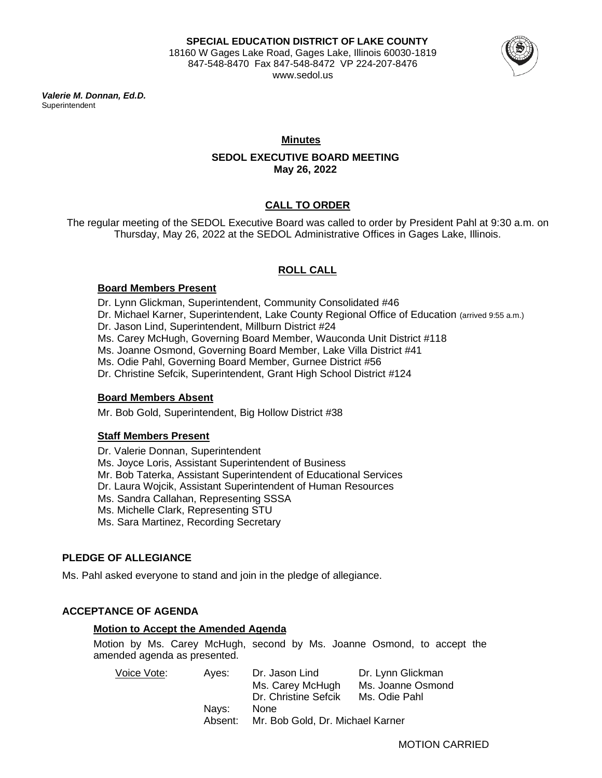

*Valerie M. Donnan, Ed.D.* **Superintendent** 

# **Minutes**

# **SEDOL EXECUTIVE BOARD MEETING May 26, 2022**

# **CALL TO ORDER**

The regular meeting of the SEDOL Executive Board was called to order by President Pahl at 9:30 a.m. on Thursday, May 26, 2022 at the SEDOL Administrative Offices in Gages Lake, Illinois.

# **ROLL CALL**

# **Board Members Present**

Dr. Lynn Glickman, Superintendent, Community Consolidated #46 Dr. Michael Karner, Superintendent, Lake County Regional Office of Education (arrived 9:55 a.m.) Dr. Jason Lind, Superintendent, Millburn District #24 Ms. Carey McHugh, Governing Board Member, Wauconda Unit District #118 Ms. Joanne Osmond, Governing Board Member, Lake Villa District #41 Ms. Odie Pahl, Governing Board Member, Gurnee District #56 Dr. Christine Sefcik, Superintendent, Grant High School District #124

# **Board Members Absent**

Mr. Bob Gold, Superintendent, Big Hollow District #38

# **Staff Members Present**

Dr. Valerie Donnan, Superintendent Ms. Joyce Loris, Assistant Superintendent of Business Mr. Bob Taterka, Assistant Superintendent of Educational Services Dr. Laura Wojcik, Assistant Superintendent of Human Resources Ms. Sandra Callahan, Representing SSSA Ms. Michelle Clark, Representing STU Ms. Sara Martinez, Recording Secretary

# **PLEDGE OF ALLEGIANCE**

Ms. Pahl asked everyone to stand and join in the pledge of allegiance.

# **ACCEPTANCE OF AGENDA**

# **Motion to Accept the Amended Agenda**

Motion by Ms. Carey McHugh, second by Ms. Joanne Osmond, to accept the amended agenda as presented.

| Voice Vote: | Aves:   | Dr. Jason Lind                   | Dr. Lynn Glickman |
|-------------|---------|----------------------------------|-------------------|
|             |         | Ms. Carey McHugh                 | Ms. Joanne Osmond |
|             |         | Dr. Christine Sefcik             | Ms. Odie Pahl     |
|             | Navs:   | <b>None</b>                      |                   |
|             | Absent: | Mr. Bob Gold, Dr. Michael Karner |                   |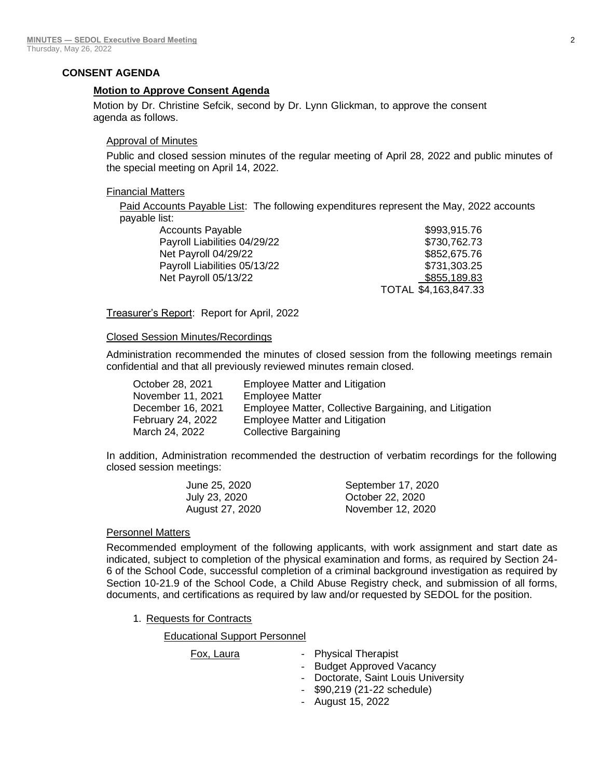# **CONSENT AGENDA**

## **Motion to Approve Consent Agenda**

Motion by Dr. Christine Sefcik, second by Dr. Lynn Glickman, to approve the consent agenda as follows.

# Approval of Minutes

Public and closed session minutes of the regular meeting of April 28, 2022 and public minutes of the special meeting on April 14, 2022.

## Financial Matters

Paid Accounts Payable List: The following expenditures represent the May, 2022 accounts payable list:

| \$993,915.76         |
|----------------------|
| \$730,762.73         |
| \$852,675.76         |
| \$731,303.25         |
| \$855,189.83         |
| TOTAL \$4,163,847.33 |
|                      |

Treasurer's Report: Report for April, 2022

## Closed Session Minutes/Recordings

Administration recommended the minutes of closed session from the following meetings remain confidential and that all previously reviewed minutes remain closed.

| October 28, 2021  | Employee Matter and Litigation                         |
|-------------------|--------------------------------------------------------|
| November 11, 2021 | <b>Employee Matter</b>                                 |
| December 16, 2021 | Employee Matter, Collective Bargaining, and Litigation |
| February 24, 2022 | <b>Employee Matter and Litigation</b>                  |
| March 24, 2022    | <b>Collective Bargaining</b>                           |

In addition, Administration recommended the destruction of verbatim recordings for the following closed session meetings:

| June 25, 2020   | September 17, 2020 |
|-----------------|--------------------|
| July 23, 2020   | October 22, 2020   |
| August 27, 2020 | November 12, 2020  |

# Personnel Matters

Recommended employment of the following applicants, with work assignment and start date as indicated, subject to completion of the physical examination and forms, as required by Section 24- 6 of the School Code, successful completion of a criminal background investigation as required by Section 10-21.9 of the School Code, a Child Abuse Registry check, and submission of all forms, documents, and certifications as required by law and/or requested by SEDOL for the position.

1. Requests for Contracts

Educational Support Personnel

| Fox, Laura | - Physical Therapist                |
|------------|-------------------------------------|
|            | - Budget Approved Vacancy           |
|            | - Doctorate, Saint Louis University |
|            | - \$90,219 (21-22 schedule)         |
|            | - August 15, 2022                   |
|            |                                     |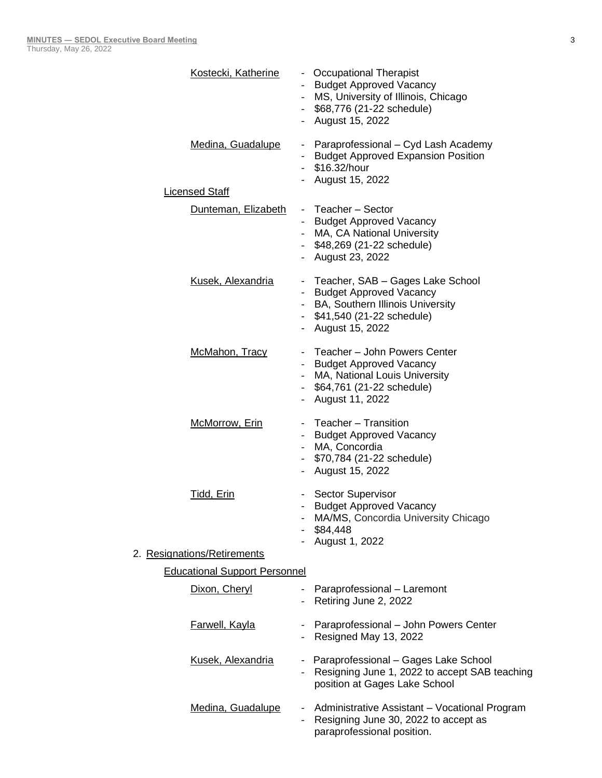| Kostecki, Katherine                  |        | - Occupational Therapist<br><b>Budget Approved Vacancy</b><br>MS, University of Illinois, Chicago<br>\$68,776 (21-22 schedule)<br>- August 15, 2022        |
|--------------------------------------|--------|------------------------------------------------------------------------------------------------------------------------------------------------------------|
| Medina, Guadalupe                    |        | Paraprofessional - Cyd Lash Academy<br><b>Budget Approved Expansion Position</b><br>\$16.32/hour<br>August 15, 2022                                        |
| <b>Licensed Staff</b>                |        |                                                                                                                                                            |
| Dunteman, Elizabeth                  |        | - Teacher - Sector<br><b>Budget Approved Vacancy</b><br>- MA, CA National University<br>- \$48,269 (21-22 schedule)<br>- August 23, 2022                   |
| Kusek, Alexandria                    |        | Teacher, SAB - Gages Lake School<br><b>Budget Approved Vacancy</b><br>- BA, Southern Illinois University<br>- \$41,540 (21-22 schedule)<br>August 15, 2022 |
| McMahon, Tracy                       |        | Teacher - John Powers Center<br><b>Budget Approved Vacancy</b><br>MA, National Louis University<br>- \$64,761 (21-22 schedule)<br>August 11, 2022          |
| McMorrow, Erin                       |        | Teacher - Transition<br><b>Budget Approved Vacancy</b><br>MA, Concordia<br>- \$70,784 (21-22 schedule)<br>August 15, 2022                                  |
| <u>Tidd, Erin</u>                    |        | <b>Sector Supervisor</b><br><b>Budget Approved Vacancy</b><br>MA/MS, Concordia University Chicago<br>\$84,448<br>August 1, 2022                            |
| 2. Resignations/Retirements          |        |                                                                                                                                                            |
| <b>Educational Support Personnel</b> |        |                                                                                                                                                            |
| Dixon, Cheryl                        |        | Paraprofessional - Laremont<br>Retiring June 2, 2022                                                                                                       |
| <b>Farwell, Kayla</b>                |        | - Paraprofessional - John Powers Center<br>Resigned May 13, 2022                                                                                           |
| Kusek, Alexandria                    |        | - Paraprofessional - Gages Lake School<br>Resigning June 1, 2022 to accept SAB teaching<br>position at Gages Lake School                                   |
| Medina, Guadalupe                    | $\sim$ | Administrative Assistant - Vocational Program<br>Resigning June 30, 2022 to accept as<br>paraprofessional position.                                        |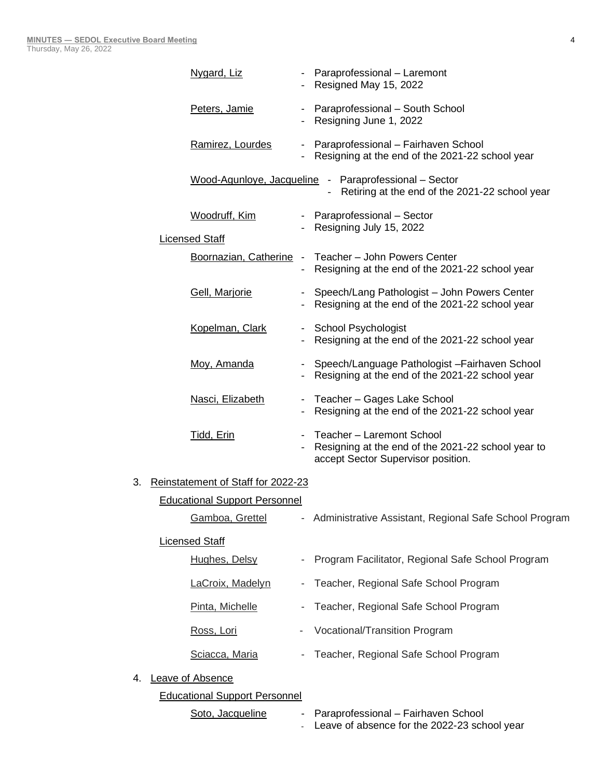|    | Nygard, Liz                          |                          | - Paraprofessional - Laremont<br>- Resigned May 15, 2022                                                              |
|----|--------------------------------------|--------------------------|-----------------------------------------------------------------------------------------------------------------------|
|    | Peters, Jamie                        |                          | - Paraprofessional - South School<br>- Resigning June 1, 2022                                                         |
|    | Ramirez, Lourdes                     |                          | - Paraprofessional - Fairhaven School<br>- Resigning at the end of the 2021-22 school year                            |
|    |                                      |                          | Wood-Agunloye, Jacqueline - Paraprofessional - Sector<br>Retiring at the end of the 2021-22 school year               |
|    | Woodruff, Kim                        |                          | - Paraprofessional - Sector<br>- Resigning July 15, 2022                                                              |
|    | <b>Licensed Staff</b>                |                          |                                                                                                                       |
|    |                                      |                          | Boornazian, Catherine - Teacher - John Powers Center<br>- Resigning at the end of the 2021-22 school year             |
|    | Gell, Marjorie                       |                          | - Speech/Lang Pathologist - John Powers Center<br>- Resigning at the end of the 2021-22 school year                   |
|    | Kopelman, Clark                      |                          | - School Psychologist<br>- Resigning at the end of the 2021-22 school year                                            |
|    | Moy, Amanda                          |                          | - Speech/Language Pathologist - Fairhaven School<br>- Resigning at the end of the 2021-22 school year                 |
|    | Nasci, Elizabeth                     |                          | - Teacher - Gages Lake School<br>- Resigning at the end of the 2021-22 school year                                    |
|    | Tidd, Erin                           | $\blacksquare$           | Teacher - Laremont School<br>Resigning at the end of the 2021-22 school year to<br>accept Sector Supervisor position. |
| 3. | Reinstatement of Staff for 2022-23   |                          |                                                                                                                       |
|    | <b>Educational Support Personnel</b> |                          |                                                                                                                       |
|    | Gamboa, Grettel                      |                          | - Administrative Assistant, Regional Safe School Program                                                              |
|    | <b>Licensed Staff</b>                |                          |                                                                                                                       |
|    | Hughes, Delsy                        |                          | Program Facilitator, Regional Safe School Program                                                                     |
|    | LaCroix, Madelyn                     | $\overline{\phantom{a}}$ | Teacher, Regional Safe School Program                                                                                 |
|    | Pinta, Michelle                      |                          | Teacher, Regional Safe School Program                                                                                 |
|    | Ross, Lori                           |                          | Vocational/Transition Program                                                                                         |
|    | Sciacca, Maria                       |                          | Teacher, Regional Safe School Program                                                                                 |
| 4. | Leave of Absence                     |                          |                                                                                                                       |
|    | <b>Educational Support Personnel</b> |                          |                                                                                                                       |
|    | Soto, Jacqueline                     |                          | Paraprofessional - Fairhaven School<br>Leave of absence for the 2022-23 school year                                   |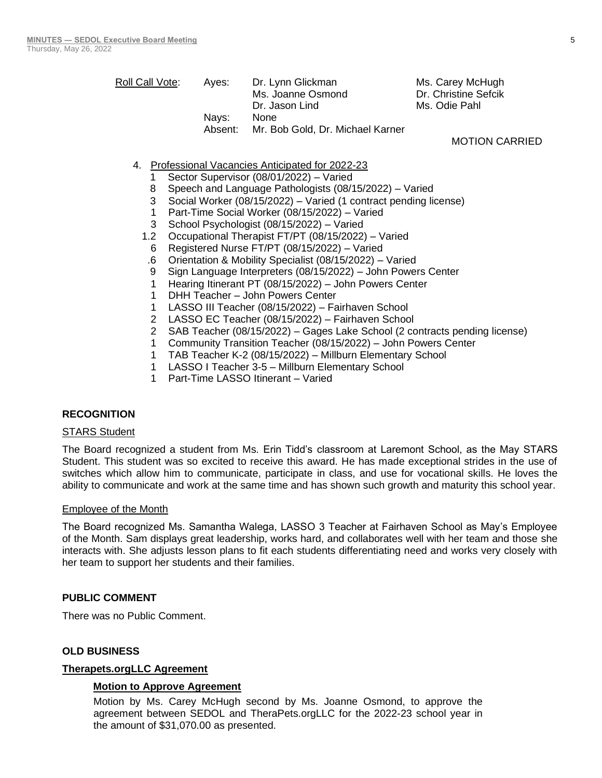| Roll Call Vote: | Aves:   | Dr. Lynn Glickman                | Ms. Carey McHugh     |
|-----------------|---------|----------------------------------|----------------------|
|                 |         | Ms. Joanne Osmond                | Dr. Christine Sefcik |
|                 |         | Dr. Jason Lind                   | Ms. Odie Pahl        |
|                 | Navs:   | <b>None</b>                      |                      |
|                 | Absent: | Mr. Bob Gold, Dr. Michael Karner |                      |
|                 |         |                                  | 110TION 01           |

MOTION CARRIED

- 4. Professional Vacancies Anticipated for 2022-23
	- 1 Sector Supervisor (08/01/2022) Varied
	- 8 Speech and Language Pathologists (08/15/2022) Varied
	- 3 Social Worker (08/15/2022) Varied (1 contract pending license)
	- 1 Part-Time Social Worker (08/15/2022) Varied
	- 3 School Psychologist (08/15/2022) Varied
	- 1.2 Occupational Therapist FT/PT (08/15/2022) Varied
	- 6 Registered Nurse FT/PT (08/15/2022) Varied
	- .6 Orientation & Mobility Specialist (08/15/2022) Varied
	- 9 Sign Language Interpreters (08/15/2022) John Powers Center
	- 1 Hearing Itinerant PT (08/15/2022) John Powers Center
	- 1 DHH Teacher John Powers Center
	- 1 LASSO III Teacher (08/15/2022) Fairhaven School
	- 2 LASSO EC Teacher (08/15/2022) Fairhaven School
	- 2 SAB Teacher (08/15/2022) Gages Lake School (2 contracts pending license)
	- 1 Community Transition Teacher (08/15/2022) John Powers Center
	- 1 TAB Teacher K-2 (08/15/2022) Millburn Elementary School
	- 1 LASSO I Teacher 3-5 Millburn Elementary School
	- 1 Part-Time LASSO Itinerant Varied

# **RECOGNITION**

#### **STARS Student**

The Board recognized a student from Ms. Erin Tidd's classroom at Laremont School, as the May STARS Student. This student was so excited to receive this award. He has made exceptional strides in the use of switches which allow him to communicate, participate in class, and use for vocational skills. He loves the ability to communicate and work at the same time and has shown such growth and maturity this school year.

#### Employee of the Month

The Board recognized Ms. Samantha Walega, LASSO 3 Teacher at Fairhaven School as May's Employee of the Month. Sam displays great leadership, works hard, and collaborates well with her team and those she interacts with. She adjusts lesson plans to fit each students differentiating need and works very closely with her team to support her students and their families.

#### **PUBLIC COMMENT**

There was no Public Comment.

#### **OLD BUSINESS**

### **Therapets.orgLLC Agreement**

#### **Motion to Approve Agreement**

Motion by Ms. Carey McHugh second by Ms. Joanne Osmond, to approve the agreement between SEDOL and TheraPets.orgLLC for the 2022-23 school year in the amount of \$31,070.00 as presented.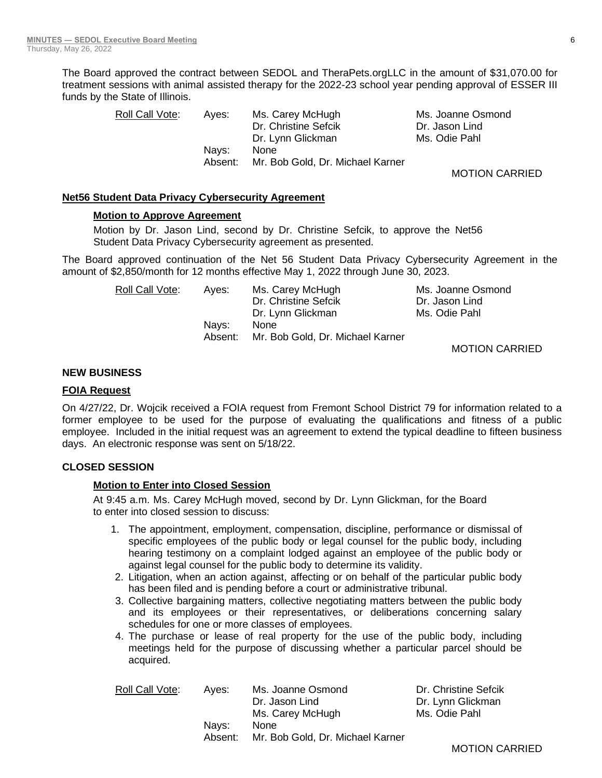The Board approved the contract between SEDOL and TheraPets.orgLLC in the amount of \$31,070.00 for treatment sessions with animal assisted therapy for the 2022-23 school year pending approval of ESSER III funds by the State of Illinois.

| Roll Call Vote: | Aves:   | Ms. Carey McHugh                 | Ms. Joanne Osmond |
|-----------------|---------|----------------------------------|-------------------|
|                 |         | Dr. Christine Sefcik             | Dr. Jason Lind    |
|                 |         | Dr. Lynn Glickman                | Ms. Odie Pahl     |
|                 | Navs:   | <b>None</b>                      |                   |
|                 | Absent: | Mr. Bob Gold, Dr. Michael Karner |                   |
|                 |         |                                  | .                 |

MOTION CARRIED

#### **Net56 Student Data Privacy Cybersecurity Agreement**

#### **Motion to Approve Agreement**

Motion by Dr. Jason Lind, second by Dr. Christine Sefcik, to approve the Net56 Student Data Privacy Cybersecurity agreement as presented.

The Board approved continuation of the Net 56 Student Data Privacy Cybersecurity Agreement in the amount of \$2,850/month for 12 months effective May 1, 2022 through June 30, 2023.

| Roll Call Vote: | Aves:   | Ms. Carey McHugh                 | Ms. Joanne Osmond |
|-----------------|---------|----------------------------------|-------------------|
|                 |         | Dr. Christine Sefcik             | Dr. Jason Lind    |
|                 |         | Dr. Lynn Glickman                | Ms. Odie Pahl     |
|                 | Navs:   | <b>None</b>                      |                   |
|                 | Absent: | Mr. Bob Gold, Dr. Michael Karner |                   |
|                 |         |                                  |                   |

MOTION CARRIED

#### **NEW BUSINESS**

### **FOIA Request**

On 4/27/22, Dr. Wojcik received a FOIA request from Fremont School District 79 for information related to a former employee to be used for the purpose of evaluating the qualifications and fitness of a public employee. Included in the initial request was an agreement to extend the typical deadline to fifteen business days. An electronic response was sent on 5/18/22.

# **CLOSED SESSION**

#### **Motion to Enter into Closed Session**

At 9:45 a.m. Ms. Carey McHugh moved, second by Dr. Lynn Glickman, for the Board to enter into closed session to discuss:

- 1. The appointment, employment, compensation, discipline, performance or dismissal of specific employees of the public body or legal counsel for the public body, including hearing testimony on a complaint lodged against an employee of the public body or against legal counsel for the public body to determine its validity.
- 2. Litigation, when an action against, affecting or on behalf of the particular public body has been filed and is pending before a court or administrative tribunal.
- 3. Collective bargaining matters, collective negotiating matters between the public body and its employees or their representatives, or deliberations concerning salary schedules for one or more classes of employees.
- 4. The purchase or lease of real property for the use of the public body, including meetings held for the purpose of discussing whether a particular parcel should be acquired.

| Aves:   | Ms. Joanne Osmond                | Dr. Christine Sefcik |
|---------|----------------------------------|----------------------|
|         | Dr. Jason Lind                   | Dr. Lynn Glickman    |
|         | Ms. Carey McHugh                 | Ms. Odie Pahl        |
| Navs:   | <b>None</b>                      |                      |
| Absent: | Mr. Bob Gold, Dr. Michael Karner |                      |
|         |                                  |                      |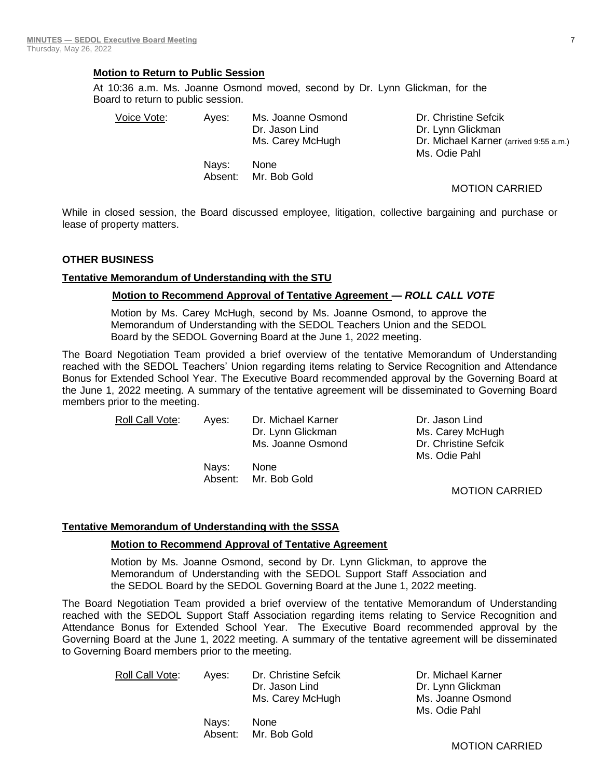## **Motion to Return to Public Session**

At 10:36 a.m. Ms. Joanne Osmond moved, second by Dr. Lynn Glickman, for the Board to return to public session.

Absent: Mr. Bob Gold

| Voice Vote: | Aves: | Ms. Joanne Osmond<br>Dr. Jason Lind<br>Ms. Carey McHugh | Dr. Christine Sefcik<br>Dr. Lynn Glickman<br>Dr. Michael Karner (arrived 9:55 a.m.)<br>Ms. Odie Pahl |
|-------------|-------|---------------------------------------------------------|------------------------------------------------------------------------------------------------------|
|             | Navs: | None                                                    |                                                                                                      |

MOTION CARRIED

While in closed session, the Board discussed employee, litigation, collective bargaining and purchase or lease of property matters.

#### **OTHER BUSINESS**

#### **Tentative Memorandum of Understanding with the STU**

#### **Motion to Recommend Approval of Tentative Agreement —** *ROLL CALL VOTE*

Motion by Ms. Carey McHugh, second by Ms. Joanne Osmond, to approve the Memorandum of Understanding with the SEDOL Teachers Union and the SEDOL Board by the SEDOL Governing Board at the June 1, 2022 meeting.

The Board Negotiation Team provided a brief overview of the tentative Memorandum of Understanding reached with the SEDOL Teachers' Union regarding items relating to Service Recognition and Attendance Bonus for Extended School Year. The Executive Board recommended approval by the Governing Board at the June 1, 2022 meeting. A summary of the tentative agreement will be disseminated to Governing Board members prior to the meeting.

| Roll Call Vote: | Aves: | Dr. Michael Karner | Dr. Jason Lind  |
|-----------------|-------|--------------------|-----------------|
|                 |       | Dr. Lynn Glickman  | Ms. Carey McH   |
|                 |       | Ms. Joanne Osmond  | Dr. Christine S |
|                 |       |                    | Ms. Odie Pahl   |

Nays: None Absent: Mr. Bob Gold

Ms. Carey McHugh Dr. Christine Sefcik Ms. Odie Pahl

MOTION CARRIED

#### **Tentative Memorandum of Understanding with the SSSA**

#### **Motion to Recommend Approval of Tentative Agreement**

Motion by Ms. Joanne Osmond, second by Dr. Lynn Glickman, to approve the Memorandum of Understanding with the SEDOL Support Staff Association and the SEDOL Board by the SEDOL Governing Board at the June 1, 2022 meeting.

The Board Negotiation Team provided a brief overview of the tentative Memorandum of Understanding reached with the SEDOL Support Staff Association regarding items relating to Service Recognition and Attendance Bonus for Extended School Year. The Executive Board recommended approval by the Governing Board at the June 1, 2022 meeting. A summary of the tentative agreement will be disseminated to Governing Board members prior to the meeting.

Roll Call Vote: Ayes: Dr. Christine Sefcik Dr. Michael Karner Dr. Jason Lind Dr. Lynn Glickman

> Nays: None Absent: Mr. Bob Gold

Ms. Carey McHugh Ms. Joanne Osmond Ms. Odie Pahl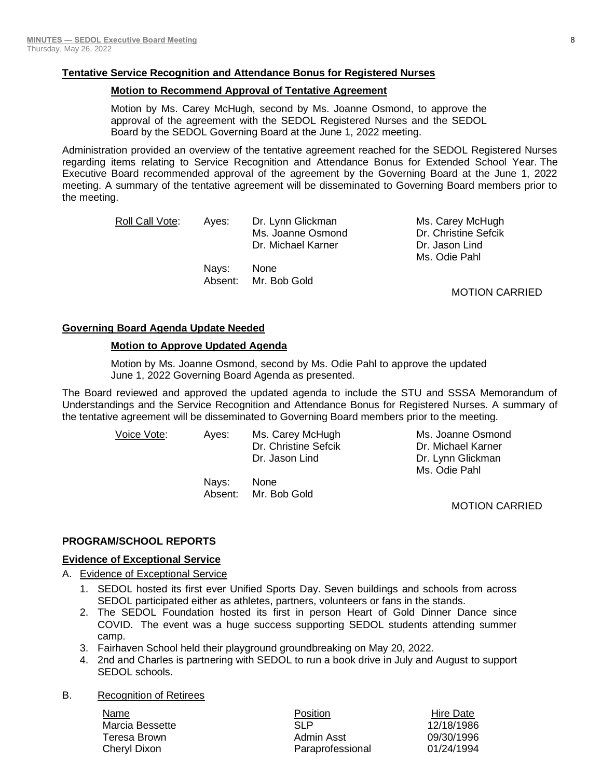# **Tentative Service Recognition and Attendance Bonus for Registered Nurses**

## **Motion to Recommend Approval of Tentative Agreement**

Motion by Ms. Carey McHugh, second by Ms. Joanne Osmond, to approve the approval of the agreement with the SEDOL Registered Nurses and the SEDOL Board by the SEDOL Governing Board at the June 1, 2022 meeting.

Administration provided an overview of the tentative agreement reached for the SEDOL Registered Nurses regarding items relating to Service Recognition and Attendance Bonus for Extended School Year. The Executive Board recommended approval of the agreement by the Governing Board at the June 1, 2022 meeting. A summary of the tentative agreement will be disseminated to Governing Board members prior to the meeting.

Roll Call Vote: Ayes: Dr. Lynn Glickman Ms. Carey McHugh Ms. Joanne Osmond Dr. Christine Sefcik Dr. Michael Karner **Dr. Jason Lind** 

> Nays: None Absent: Mr. Bob Gold

Ms. Odie Pahl

MOTION CARRIED

# **Governing Board Agenda Update Needed**

## **Motion to Approve Updated Agenda**

Motion by Ms. Joanne Osmond, second by Ms. Odie Pahl to approve the updated June 1, 2022 Governing Board Agenda as presented.

The Board reviewed and approved the updated agenda to include the STU and SSSA Memorandum of Understandings and the Service Recognition and Attendance Bonus for Registered Nurses. A summary of the tentative agreement will be disseminated to Governing Board members prior to the meeting.

> Voice Vote: Ayes: Ms. Carey McHugh Ms. Joanne Osmond Dr. Christine Sefcik Dr. Michael Karner Dr. Jason Lind Dr. Lynn Glickman Ms. Odie Pahl Nays: None Absent: Mr. Bob Gold MOTION CARRIED

#### **PROGRAM/SCHOOL REPORTS**

#### **Evidence of Exceptional Service**

- A. Evidence of Exceptional Service
	- 1. SEDOL hosted its first ever Unified Sports Day. Seven buildings and schools from across SEDOL participated either as athletes, partners, volunteers or fans in the stands.
	- 2. The SEDOL Foundation hosted its first in person Heart of Gold Dinner Dance since COVID. The event was a huge success supporting SEDOL students attending summer camp.
	- 3. Fairhaven School held their playground groundbreaking on May 20, 2022.
	- 4. 2nd and Charles is partnering with SEDOL to run a book drive in July and August to support SEDOL schools.
- B. Recognition of Retirees

Name **Name Position Position Hire Date** Marcia Bessette **12/18/1986** SLP 12/18/1986 Teresa Brown Admin Asst 09/30/1996 Cheryl Dixon Paraprofessional 01/24/1994